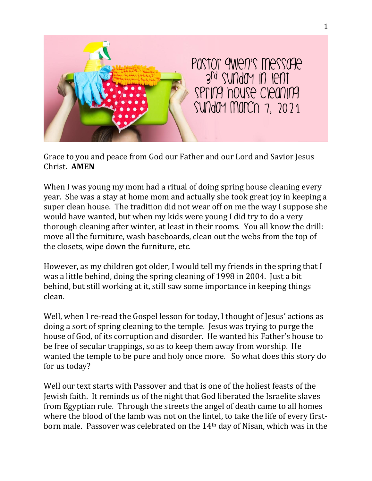

Grace to you and peace from God our Father and our Lord and Savior Jesus Christ. **AMEN**

When I was young my mom had a ritual of doing spring house cleaning every year. She was a stay at home mom and actually she took great joy in keeping a super clean house. The tradition did not wear off on me the way I suppose she would have wanted, but when my kids were young I did try to do a very thorough cleaning after winter, at least in their rooms. You all know the drill: move all the furniture, wash baseboards, clean out the webs from the top of the closets, wipe down the furniture, etc.

However, as my children got older, I would tell my friends in the spring that I was a little behind, doing the spring cleaning of 1998 in 2004. Just a bit behind, but still working at it, still saw some importance in keeping things clean.

Well, when I re-read the Gospel lesson for today, I thought of Jesus' actions as doing a sort of spring cleaning to the temple. Jesus was trying to purge the house of God, of its corruption and disorder. He wanted his Father's house to be free of secular trappings, so as to keep them away from worship. He wanted the temple to be pure and holy once more. So what does this story do for us today?

Well our text starts with Passover and that is one of the holiest feasts of the Jewish faith. It reminds us of the night that God liberated the Israelite slaves from Egyptian rule. Through the streets the angel of death came to all homes where the blood of the lamb was not on the lintel, to take the life of every firstborn male. Passover was celebrated on the 14th day of Nisan, which was in the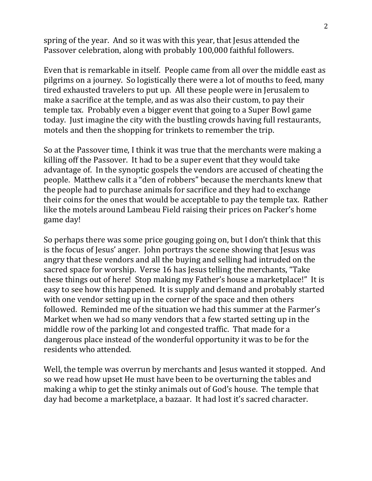spring of the year. And so it was with this year, that Jesus attended the Passover celebration, along with probably 100,000 faithful followers.

Even that is remarkable in itself. People came from all over the middle east as pilgrims on a journey. So logistically there were a lot of mouths to feed, many tired exhausted travelers to put up. All these people were in Jerusalem to make a sacrifice at the temple, and as was also their custom, to pay their temple tax. Probably even a bigger event that going to a Super Bowl game today. Just imagine the city with the bustling crowds having full restaurants, motels and then the shopping for trinkets to remember the trip.

So at the Passover time, I think it was true that the merchants were making a killing off the Passover. It had to be a super event that they would take advantage of. In the synoptic gospels the vendors are accused of cheating the people. Matthew calls it a "den of robbers" because the merchants knew that the people had to purchase animals for sacrifice and they had to exchange their coins for the ones that would be acceptable to pay the temple tax. Rather like the motels around Lambeau Field raising their prices on Packer's home game day!

So perhaps there was some price gouging going on, but I don't think that this is the focus of Jesus' anger. John portrays the scene showing that Jesus was angry that these vendors and all the buying and selling had intruded on the sacred space for worship. Verse 16 has Jesus telling the merchants, "Take these things out of here! Stop making my Father's house a marketplace!" It is easy to see how this happened. It is supply and demand and probably started with one vendor setting up in the corner of the space and then others followed. Reminded me of the situation we had this summer at the Farmer's Market when we had so many vendors that a few started setting up in the middle row of the parking lot and congested traffic. That made for a dangerous place instead of the wonderful opportunity it was to be for the residents who attended.

Well, the temple was overrun by merchants and Jesus wanted it stopped. And so we read how upset He must have been to be overturning the tables and making a whip to get the stinky animals out of God's house. The temple that day had become a marketplace, a bazaar. It had lost it's sacred character.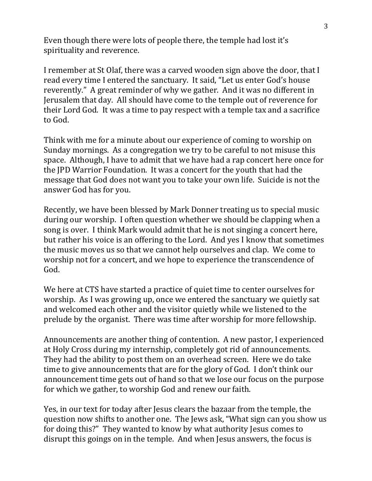Even though there were lots of people there, the temple had lost it's spirituality and reverence.

I remember at St Olaf, there was a carved wooden sign above the door, that I read every time I entered the sanctuary. It said, "Let us enter God's house reverently." A great reminder of why we gather. And it was no different in Jerusalem that day. All should have come to the temple out of reverence for their Lord God. It was a time to pay respect with a temple tax and a sacrifice to God.

Think with me for a minute about our experience of coming to worship on Sunday mornings. As a congregation we try to be careful to not misuse this space. Although, I have to admit that we have had a rap concert here once for the JPD Warrior Foundation. It was a concert for the youth that had the message that God does not want you to take your own life. Suicide is not the answer God has for you.

Recently, we have been blessed by Mark Donner treating us to special music during our worship. I often question whether we should be clapping when a song is over. I think Mark would admit that he is not singing a concert here, but rather his voice is an offering to the Lord. And yes I know that sometimes the music moves us so that we cannot help ourselves and clap. We come to worship not for a concert, and we hope to experience the transcendence of God.

We here at CTS have started a practice of quiet time to center ourselves for worship. As I was growing up, once we entered the sanctuary we quietly sat and welcomed each other and the visitor quietly while we listened to the prelude by the organist. There was time after worship for more fellowship.

Announcements are another thing of contention. A new pastor, I experienced at Holy Cross during my internship, completely got rid of announcements. They had the ability to post them on an overhead screen. Here we do take time to give announcements that are for the glory of God. I don't think our announcement time gets out of hand so that we lose our focus on the purpose for which we gather, to worship God and renew our faith.

Yes, in our text for today after Jesus clears the bazaar from the temple, the question now shifts to another one. The Jews ask, "What sign can you show us for doing this?" They wanted to know by what authority Jesus comes to disrupt this goings on in the temple. And when Jesus answers, the focus is